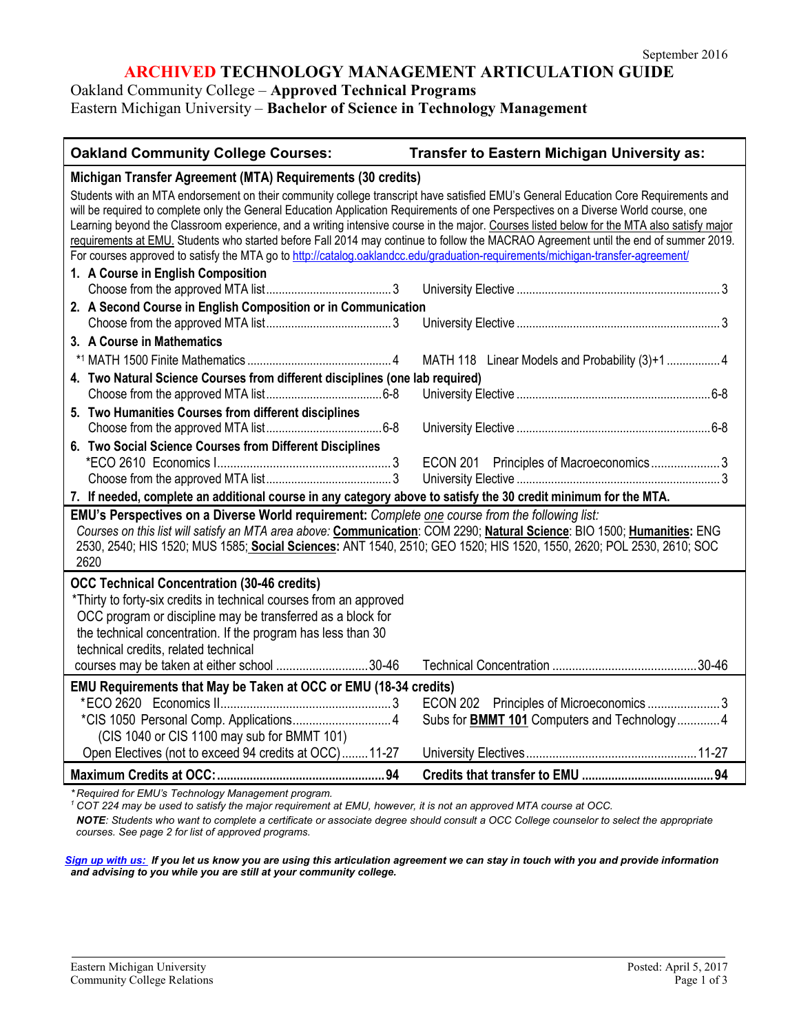# **ARCHIVED TECHNOLOGY MANAGEMENT ARTICULATION GUIDE**

Oakland Community College – **Approved Technical Programs**

# Eastern Michigan University – **Bachelor of Science in Technology Management**

| <b>Oakland Community College Courses:</b><br><b>Transfer to Eastern Michigan University as:</b>                                                                                                                                                                                                                                                                                                                                                                                                                                                                                                                                                                                                     |  |  |
|-----------------------------------------------------------------------------------------------------------------------------------------------------------------------------------------------------------------------------------------------------------------------------------------------------------------------------------------------------------------------------------------------------------------------------------------------------------------------------------------------------------------------------------------------------------------------------------------------------------------------------------------------------------------------------------------------------|--|--|
| Michigan Transfer Agreement (MTA) Requirements (30 credits)                                                                                                                                                                                                                                                                                                                                                                                                                                                                                                                                                                                                                                         |  |  |
| Students with an MTA endorsement on their community college transcript have satisfied EMU's General Education Core Requirements and<br>will be required to complete only the General Education Application Requirements of one Perspectives on a Diverse World course, one<br>Learning beyond the Classroom experience, and a writing intensive course in the major. Courses listed below for the MTA also satisfy major<br>requirements at EMU. Students who started before Fall 2014 may continue to follow the MACRAO Agreement until the end of summer 2019.<br>For courses approved to satisfy the MTA go to http://catalog.oaklandcc.edu/graduation-requirements/michigan-transfer-agreement/ |  |  |
| 1. A Course in English Composition                                                                                                                                                                                                                                                                                                                                                                                                                                                                                                                                                                                                                                                                  |  |  |
|                                                                                                                                                                                                                                                                                                                                                                                                                                                                                                                                                                                                                                                                                                     |  |  |
| 2. A Second Course in English Composition or in Communication                                                                                                                                                                                                                                                                                                                                                                                                                                                                                                                                                                                                                                       |  |  |
| 3. A Course in Mathematics                                                                                                                                                                                                                                                                                                                                                                                                                                                                                                                                                                                                                                                                          |  |  |
| MATH 118 Linear Models and Probability (3)+1  4                                                                                                                                                                                                                                                                                                                                                                                                                                                                                                                                                                                                                                                     |  |  |
| 4. Two Natural Science Courses from different disciplines (one lab required)                                                                                                                                                                                                                                                                                                                                                                                                                                                                                                                                                                                                                        |  |  |
|                                                                                                                                                                                                                                                                                                                                                                                                                                                                                                                                                                                                                                                                                                     |  |  |
| 5. Two Humanities Courses from different disciplines                                                                                                                                                                                                                                                                                                                                                                                                                                                                                                                                                                                                                                                |  |  |
|                                                                                                                                                                                                                                                                                                                                                                                                                                                                                                                                                                                                                                                                                                     |  |  |
| 6. Two Social Science Courses from Different Disciplines                                                                                                                                                                                                                                                                                                                                                                                                                                                                                                                                                                                                                                            |  |  |
| ECON 201 Principles of Macroeconomics3                                                                                                                                                                                                                                                                                                                                                                                                                                                                                                                                                                                                                                                              |  |  |
| 7. If needed, complete an additional course in any category above to satisfy the 30 credit minimum for the MTA.                                                                                                                                                                                                                                                                                                                                                                                                                                                                                                                                                                                     |  |  |
| EMU's Perspectives on a Diverse World requirement: Complete one course from the following list:                                                                                                                                                                                                                                                                                                                                                                                                                                                                                                                                                                                                     |  |  |
| Courses on this list will satisfy an MTA area above: Communication: COM 2290; Natural Science: BIO 1500; Humanities: ENG<br>2530, 2540; HIS 1520; MUS 1585; Social Sciences: ANT 1540, 2510; GEO 1520; HIS 1520, 1550, 2620; POL 2530, 2610; SOC<br>2620                                                                                                                                                                                                                                                                                                                                                                                                                                            |  |  |
| <b>OCC Technical Concentration (30-46 credits)</b>                                                                                                                                                                                                                                                                                                                                                                                                                                                                                                                                                                                                                                                  |  |  |
| *Thirty to forty-six credits in technical courses from an approved                                                                                                                                                                                                                                                                                                                                                                                                                                                                                                                                                                                                                                  |  |  |
| OCC program or discipline may be transferred as a block for                                                                                                                                                                                                                                                                                                                                                                                                                                                                                                                                                                                                                                         |  |  |
| the technical concentration. If the program has less than 30                                                                                                                                                                                                                                                                                                                                                                                                                                                                                                                                                                                                                                        |  |  |
| technical credits, related technical<br>courses may be taken at either school 30-46                                                                                                                                                                                                                                                                                                                                                                                                                                                                                                                                                                                                                 |  |  |
|                                                                                                                                                                                                                                                                                                                                                                                                                                                                                                                                                                                                                                                                                                     |  |  |
| EMU Requirements that May be Taken at OCC or EMU (18-34 credits)<br>ECON 202 Principles of Microeconomics 3                                                                                                                                                                                                                                                                                                                                                                                                                                                                                                                                                                                         |  |  |
| Subs for <b>BMMT 101</b> Computers and Technology4                                                                                                                                                                                                                                                                                                                                                                                                                                                                                                                                                                                                                                                  |  |  |
| (CIS 1040 or CIS 1100 may sub for BMMT 101)                                                                                                                                                                                                                                                                                                                                                                                                                                                                                                                                                                                                                                                         |  |  |
| Open Electives (not to exceed 94 credits at OCC)11-27                                                                                                                                                                                                                                                                                                                                                                                                                                                                                                                                                                                                                                               |  |  |
| $\ldots$ is a four $\blacksquare$ and the $\blacksquare$ and the set of the set of the set of the set of the set of the set of the set of the set of the set of the set of the set of the set of the set of the set of the set of the set of the                                                                                                                                                                                                                                                                                                                                                                                                                                                    |  |  |

*\* Required for EMU's Technology Management program.* 

*<sup>1</sup> COT 224 may be used to satisfy the major requirement at EMU, however, it is not an approved MTA course at OCC.*

*NOTE: Students who want to complete a certificate or associate degree should consult a OCC College counselor to select the appropriate courses. See page 2 for list of approved programs.*

*[Sign up with us:](https://www.emich.edu/ccr/articulation-agreements/signup.php) If you let us know you are using this articulation agreement we can stay in touch with you and provide information and advising to you while you are still at your community college.*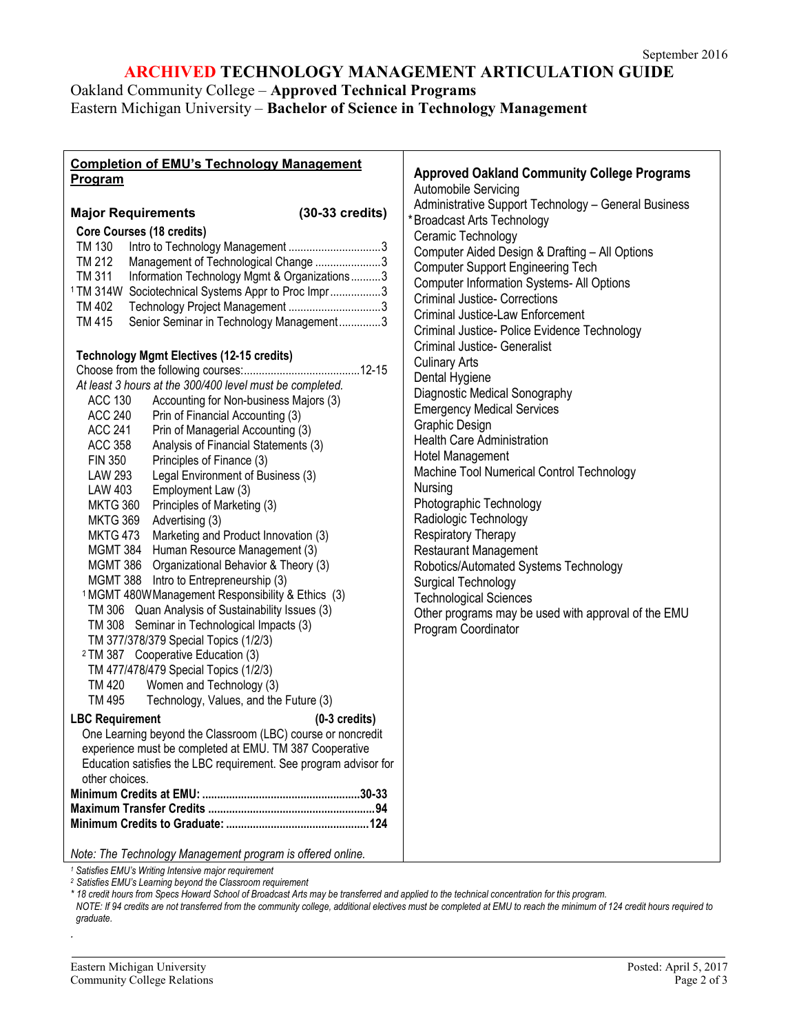# **ARCHIVED TECHNOLOGY MANAGEMENT ARTICULATION GUIDE**

Oakland Community College – **Approved Technical Programs**

Eastern Michigan University – **Bachelor of Science in Technology Management**

| <b>Completion of EMU's Technology Management</b>                       |                                                                                    |
|------------------------------------------------------------------------|------------------------------------------------------------------------------------|
| Program                                                                | <b>Approved Oakland Community College Programs</b>                                 |
|                                                                        | Automobile Servicing                                                               |
| $(30-33 \text{ credits})$<br><b>Major Requirements</b>                 | Administrative Support Technology - General Business<br>*Broadcast Arts Technology |
| <b>Core Courses (18 credits)</b>                                       | Ceramic Technology                                                                 |
| TM 130                                                                 | Computer Aided Design & Drafting - All Options                                     |
| TM 212<br>Management of Technological Change 3                         | <b>Computer Support Engineering Tech</b>                                           |
| TM 311<br>Information Technology Mgmt & Organizations3                 | <b>Computer Information Systems- All Options</b>                                   |
| <sup>1</sup> TM 314W Sociotechnical Systems Appr to Proc Impr3         | <b>Criminal Justice- Corrections</b>                                               |
| Technology Project Management 3<br>TM 402                              | <b>Criminal Justice-Law Enforcement</b>                                            |
| Senior Seminar in Technology Management3<br>TM 415                     | Criminal Justice- Police Evidence Technology                                       |
|                                                                        | <b>Criminal Justice- Generalist</b>                                                |
| <b>Technology Mgmt Electives (12-15 credits)</b>                       | <b>Culinary Arts</b>                                                               |
|                                                                        | Dental Hygiene                                                                     |
| At least 3 hours at the 300/400 level must be completed.               | Diagnostic Medical Sonography                                                      |
| ACC 130<br>Accounting for Non-business Majors (3)                      | <b>Emergency Medical Services</b>                                                  |
| <b>ACC 240</b><br>Prin of Financial Accounting (3)                     | Graphic Design                                                                     |
| Prin of Managerial Accounting (3)<br><b>ACC 241</b>                    | <b>Health Care Administration</b>                                                  |
| <b>ACC 358</b><br>Analysis of Financial Statements (3)                 | Hotel Management                                                                   |
| Principles of Finance (3)<br>FIN 350                                   | Machine Tool Numerical Control Technology                                          |
| <b>LAW 293</b><br>Legal Environment of Business (3)                    | Nursing                                                                            |
| <b>LAW 403</b><br>Employment Law (3)                                   | Photographic Technology                                                            |
| MKTG 360<br>Principles of Marketing (3)<br>MKTG 369<br>Advertising (3) | Radiologic Technology                                                              |
| Marketing and Product Innovation (3)<br><b>MKTG 473</b>                | <b>Respiratory Therapy</b>                                                         |
| Human Resource Management (3)<br>MGMT 384                              | <b>Restaurant Management</b>                                                       |
| MGMT 386 Organizational Behavior & Theory (3)                          | Robotics/Automated Systems Technology                                              |
| MGMT 388 Intro to Entrepreneurship (3)                                 | Surgical Technology                                                                |
| <sup>1</sup> MGMT 480W Management Responsibility & Ethics (3)          | <b>Technological Sciences</b>                                                      |
| TM 306 Quan Analysis of Sustainability Issues (3)                      | Other programs may be used with approval of the EMU                                |
| TM 308 Seminar in Technological Impacts (3)                            | Program Coordinator                                                                |
| TM 377/378/379 Special Topics (1/2/3)                                  |                                                                                    |
| <sup>2</sup> TM 387 Cooperative Education (3)                          |                                                                                    |
| TM 477/478/479 Special Topics (1/2/3)                                  |                                                                                    |
| Women and Technology (3)<br>TM 420                                     |                                                                                    |
| TM 495<br>Technology, Values, and the Future (3)                       |                                                                                    |
| <b>LBC Requirement</b><br>$(0-3$ credits)                              |                                                                                    |
| One Learning beyond the Classroom (LBC) course or noncredit            |                                                                                    |
| experience must be completed at EMU. TM 387 Cooperative                |                                                                                    |
| Education satisfies the LBC requirement. See program advisor for       |                                                                                    |
| other choices.                                                         |                                                                                    |
|                                                                        |                                                                                    |
|                                                                        |                                                                                    |
|                                                                        |                                                                                    |
| Note: The Technology Management program is offered online.             |                                                                                    |

*<sup>1</sup> Satisfies EMU's Writing Intensive major requirement*

*<sup>2</sup> Satisfies EMU's Learning beyond the Classroom requirement*

*\* 18 credit hours from Specs Howard School of Broadcast Arts may be transferred and applied to the technical concentration for this program.*

*NOTE: If 94 credits are not transferred from the community college, additional electives must be completed at EMU to reach the minimum of 124 credit hours required to graduate.*

*.*